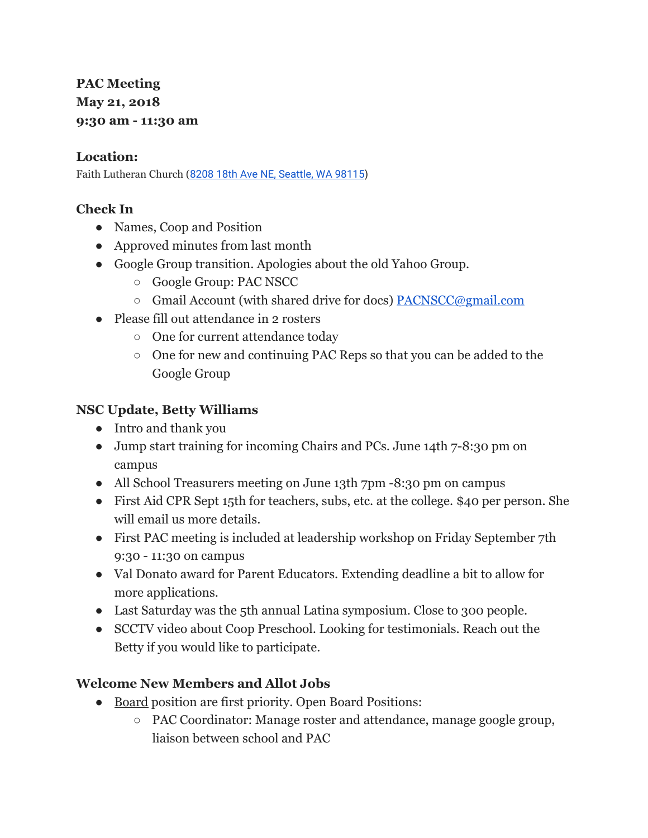**PAC Meeting May 21, 2018 9:30 am - 11:30 am**

#### **Location:**

Faith Lutheran Church (8208 18th Ave NE, [Seattle,](https://maps.google.com/?q=8208+18th+Ave+NE,+Seattle,+WA+98115&entry=gmail&source=g) WA 98115)

## **Check In**

- Names, Coop and Position
- Approved minutes from last month
- Google Group transition. Apologies about the old Yahoo Group.
	- Google Group: PAC NSCC
	- Gmail Account (with shared drive for docs) [PACNSCC@gmail.com](mailto:PACNSCC@gmail.com)
- Please fill out attendance in 2 rosters
	- One for current attendance today
	- One for new and continuing PAC Reps so that you can be added to the Google Group

### **NSC Update, Betty Williams**

- Intro and thank you
- Jump start training for incoming Chairs and PCs. June 14th 7-8:30 pm on campus
- All School Treasurers meeting on June 13th 7pm -8:30 pm on campus
- First Aid CPR Sept 15th for teachers, subs, etc. at the college. \$40 per person. She will email us more details.
- First PAC meeting is included at leadership workshop on Friday September 7th 9:30 - 11:30 on campus
- Val Donato award for Parent Educators. Extending deadline a bit to allow for more applications.
- Last Saturday was the 5th annual Latina symposium. Close to 300 people.
- SCCTV video about Coop Preschool. Looking for testimonials. Reach out the Betty if you would like to participate.

## **Welcome New Members and Allot Jobs**

- <u>Board</u> position are first priority. Open Board Positions:
	- PAC Coordinator: Manage roster and attendance, manage google group, liaison between school and PAC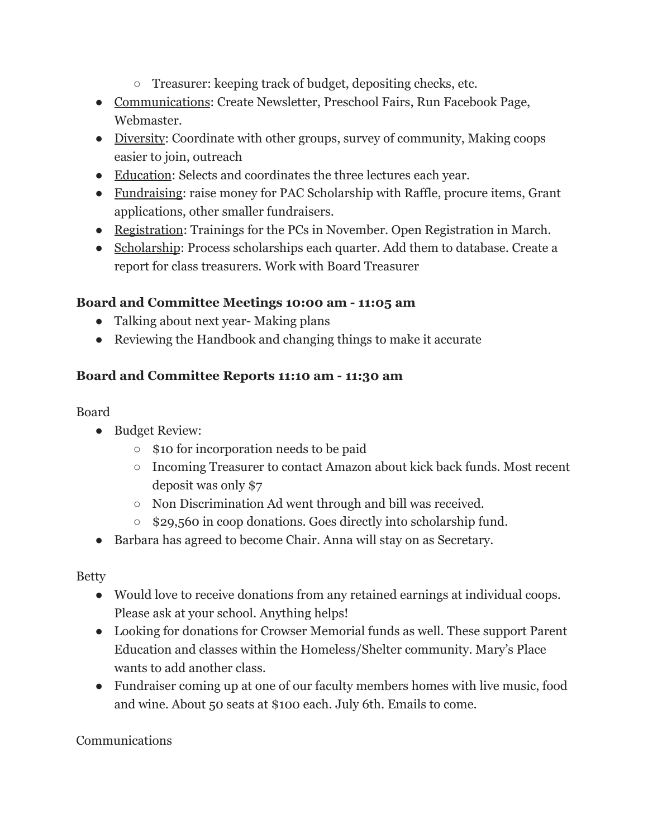- Treasurer: keeping track of budget, depositing checks, etc.
- Communications: Create Newsletter, Preschool Fairs, Run Facebook Page, Webmaster.
- Diversity: Coordinate with other groups, survey of community, Making coops easier to join, outreach
- Education: Selects and coordinates the three lectures each year.
- Fundraising: raise money for PAC Scholarship with Raffle, procure items, Grant applications, other smaller fundraisers.
- Registration: Trainings for the PCs in November. Open Registration in March.
- Scholarship: Process scholarships each quarter. Add them to database. Create a report for class treasurers. Work with Board Treasurer

## **Board and Committee Meetings 10:00 am - 11:05 am**

- Talking about next year-Making plans
- Reviewing the Handbook and changing things to make it accurate

# **Board and Committee Reports 11:10 am - 11:30 am**

### Board

- Budget Review:
	- \$10 for incorporation needs to be paid
	- Incoming Treasurer to contact Amazon about kick back funds. Most recent deposit was only \$7
	- Non Discrimination Ad went through and bill was received.
	- \$29,560 in coop donations. Goes directly into scholarship fund.
- Barbara has agreed to become Chair. Anna will stay on as Secretary.

Betty

- Would love to receive donations from any retained earnings at individual coops. Please ask at your school. Anything helps!
- Looking for donations for Crowser Memorial funds as well. These support Parent Education and classes within the Homeless/Shelter community. Mary's Place wants to add another class.
- Fundraiser coming up at one of our faculty members homes with live music, food and wine. About 50 seats at \$100 each. July 6th. Emails to come.

## Communications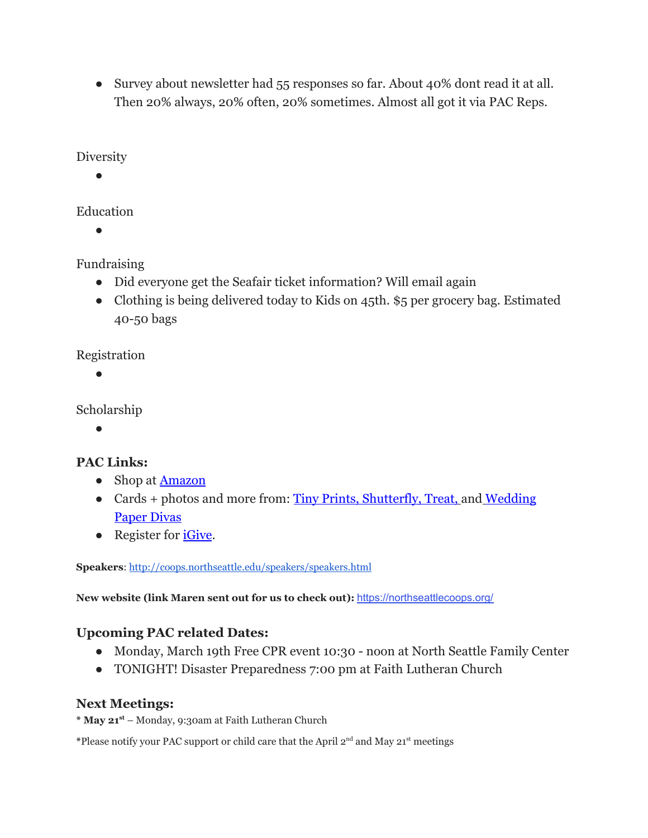• Survey about newsletter had 55 responses so far. About 40% dont read it at all. Then 20% always, 20% often, 20% sometimes. Almost all got it via PAC Reps.

**Diversity** 

●

Education

●

Fundraising

- Did everyone get the Seafair ticket information? Will email again
- Clothing is being delivered today to Kids on 45th. \$5 per grocery bag. Estimated 40-50 bags

Registration

●

Scholarship

●

# **PAC Links:**

- Shop at **[Amazon](http://www.amazon.com/ref=as_li_tf_sw?&linkCode=wsw&tag=nortseatcommc-20)**
- Cards + photos and more from: [Tiny Prints](http://www.tinyprints.com/storefront/nscc), [Shutterfly](http://www.shareasale.com/r.cfm?B=420133&U=877081&M=12808&urllink=), [Treat,](http://www.shareasale.com/r.cfm?b=381268&u=877081&m=12808&urllink=) and [Wedding](http://www.weddingpaperdivas.com/storefront/nscc) **[Paper Divas](http://www.weddingpaperdivas.com/storefront/nscc)**
- Register for *[iGive](http://www.igive.com/nscc)*.

**Speakers**: <http://coops.northseattle.edu/speakers/speakers.html>

**New website (link Maren sent out for us to check out):** [https://northseattlecoops.org/](https://northseattlecoops.com/)

# **Upcoming PAC related Dates:**

- Monday, March 19th Free CPR event 10:30 noon at North Seattle Family Center
- TONIGHT! Disaster Preparedness 7:00 pm at Faith Lutheran Church

# **Next Meetings:**

**\* May 21 st** – Monday, 9:30am at Faith Lutheran Church

\*Please notify your PAC support or child care that the April 2<sup>nd</sup> and May 21<sup>st</sup> meetings